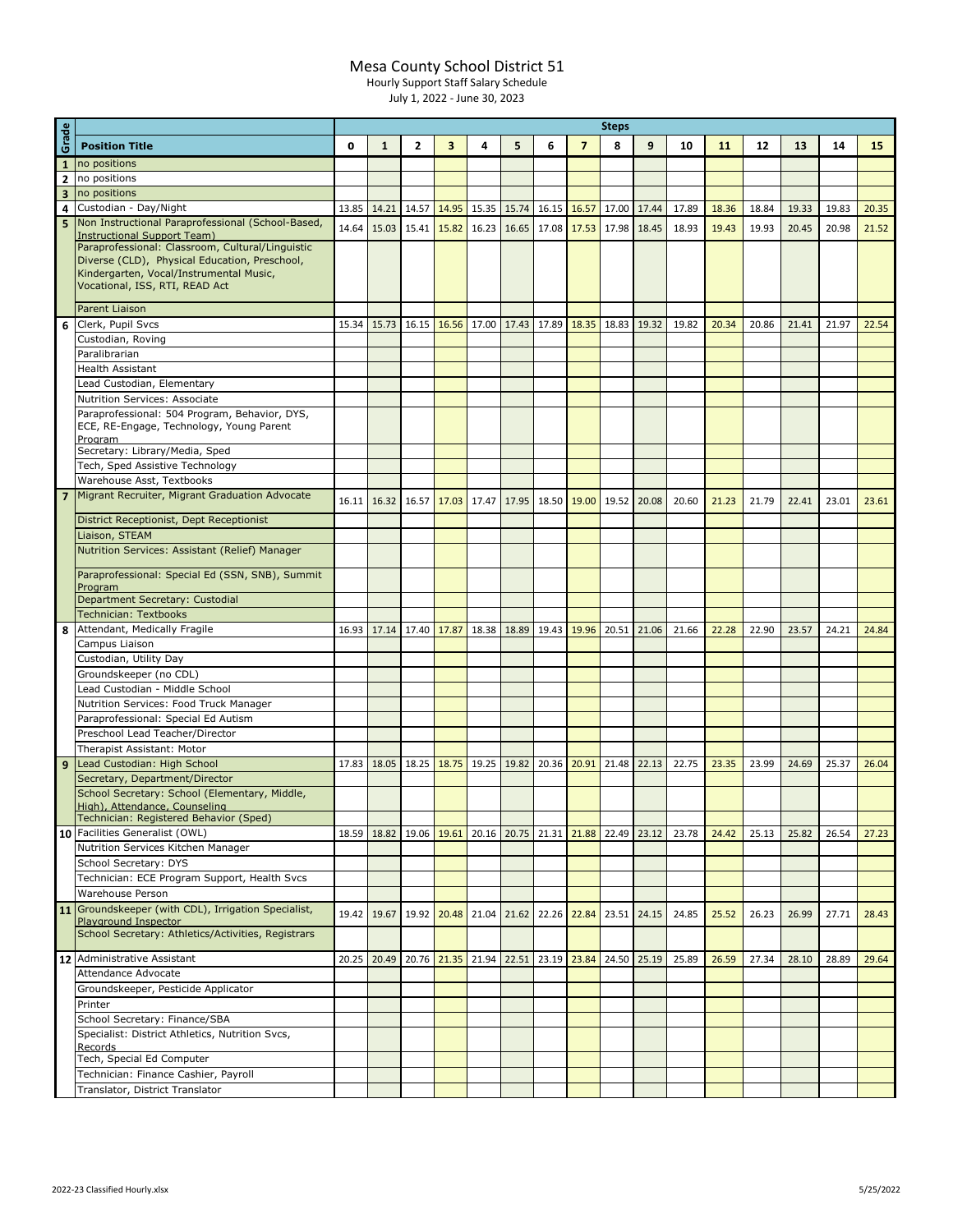## Mesa County School District 51

Hourly Support Staff Salary Schedule

July 1, 2022 - June 30, 2023

|                         |                                                                                          | <b>Steps</b> |              |              |             |       |             |       |                |                         |       |       |       |       |       |       |       |
|-------------------------|------------------------------------------------------------------------------------------|--------------|--------------|--------------|-------------|-------|-------------|-------|----------------|-------------------------|-------|-------|-------|-------|-------|-------|-------|
| Grade                   | <b>Position Title</b>                                                                    | O            | $\mathbf{1}$ | $\mathbf{2}$ | 3           | 4     | 5           | 6     | $\overline{7}$ | 8                       | 9     | 10    | 11    | 12    | 13    | 14    | 15    |
| $\mathbf{1}$            | no positions                                                                             |              |              |              |             |       |             |       |                |                         |       |       |       |       |       |       |       |
| $\overline{2}$          | no positions                                                                             |              |              |              |             |       |             |       |                |                         |       |       |       |       |       |       |       |
| $\overline{\mathbf{3}}$ | no positions                                                                             |              |              |              |             |       |             |       |                |                         |       |       |       |       |       |       |       |
| 4                       | Custodian - Day/Night                                                                    | 13.85        | 14.21        | 14.57        | 14.95       | 15.35 | 15.74       | 16.15 | 16.57          | 17.00                   | 17.44 | 17.89 | 18.36 | 18.84 | 19.33 | 19.83 | 20.35 |
| 5                       | Non Instructional Paraprofessional (School-Based,                                        |              |              |              |             |       |             |       |                |                         |       |       |       |       |       |       |       |
|                         | Instructional Support Team)                                                              | 14.64        | 15.03        | 15.41        | 15.82       | 16.23 | 16.65       |       |                | 17.08 17.53 17.98 18.45 |       | 18.93 | 19.43 | 19.93 | 20.45 | 20.98 | 21.52 |
|                         | Paraprofessional: Classroom, Cultural/Linguistic                                         |              |              |              |             |       |             |       |                |                         |       |       |       |       |       |       |       |
|                         | Diverse (CLD), Physical Education, Preschool,<br>Kindergarten, Vocal/Instrumental Music, |              |              |              |             |       |             |       |                |                         |       |       |       |       |       |       |       |
|                         | Vocational, ISS, RTI, READ Act                                                           |              |              |              |             |       |             |       |                |                         |       |       |       |       |       |       |       |
|                         |                                                                                          |              |              |              |             |       |             |       |                |                         |       |       |       |       |       |       |       |
|                         | <b>Parent Liaison</b>                                                                    |              |              |              |             |       |             |       |                |                         |       |       |       |       |       |       |       |
| 6                       | Clerk, Pupil Svcs                                                                        | 15.34        | 15.73        | 16.15 16.56  |             |       | 17.00 17.43 |       | 17.89 18.35    | 18.83                   | 19.32 | 19.82 | 20.34 | 20.86 | 21.41 | 21.97 | 22.54 |
|                         | Custodian, Roving                                                                        |              |              |              |             |       |             |       |                |                         |       |       |       |       |       |       |       |
|                         | Paralibrarian                                                                            |              |              |              |             |       |             |       |                |                         |       |       |       |       |       |       |       |
|                         | <b>Health Assistant</b>                                                                  |              |              |              |             |       |             |       |                |                         |       |       |       |       |       |       |       |
|                         | Lead Custodian, Elementary                                                               |              |              |              |             |       |             |       |                |                         |       |       |       |       |       |       |       |
|                         | Nutrition Services: Associate                                                            |              |              |              |             |       |             |       |                |                         |       |       |       |       |       |       |       |
|                         | Paraprofessional: 504 Program, Behavior, DYS,                                            |              |              |              |             |       |             |       |                |                         |       |       |       |       |       |       |       |
|                         | ECE, RE-Engage, Technology, Young Parent<br>Program                                      |              |              |              |             |       |             |       |                |                         |       |       |       |       |       |       |       |
|                         | Secretary: Library/Media, Sped                                                           |              |              |              |             |       |             |       |                |                         |       |       |       |       |       |       |       |
|                         | Tech, Sped Assistive Technology                                                          |              |              |              |             |       |             |       |                |                         |       |       |       |       |       |       |       |
|                         | Warehouse Asst, Textbooks                                                                |              |              |              |             |       |             |       |                |                         |       |       |       |       |       |       |       |
|                         | 7 Migrant Recruiter, Migrant Graduation Advocate                                         | 16.11        | 16.32        | 16.57        | 17.03       | 17.47 | 17.95       |       |                | 18.50 19.00 19.52 20.08 |       | 20.60 | 21.23 | 21.79 | 22.41 | 23.01 | 23.61 |
|                         |                                                                                          |              |              |              |             |       |             |       |                |                         |       |       |       |       |       |       |       |
|                         | District Receptionist, Dept Receptionist                                                 |              |              |              |             |       |             |       |                |                         |       |       |       |       |       |       |       |
|                         | Liaison, STEAM                                                                           |              |              |              |             |       |             |       |                |                         |       |       |       |       |       |       |       |
|                         | Nutrition Services: Assistant (Relief) Manager                                           |              |              |              |             |       |             |       |                |                         |       |       |       |       |       |       |       |
|                         | Paraprofessional: Special Ed (SSN, SNB), Summit                                          |              |              |              |             |       |             |       |                |                         |       |       |       |       |       |       |       |
|                         | Program                                                                                  |              |              |              |             |       |             |       |                |                         |       |       |       |       |       |       |       |
|                         | Department Secretary: Custodial                                                          |              |              |              |             |       |             |       |                |                         |       |       |       |       |       |       |       |
|                         | <b>Technician: Textbooks</b>                                                             |              |              |              |             |       |             |       |                |                         |       |       |       |       |       |       |       |
| 8                       | Attendant, Medically Fragile                                                             | 16.93        | 17.14 17.40  |              | 17.87       | 18.38 | 18.89       | 19.43 | 19.96 20.51    |                         | 21.06 | 21.66 | 22.28 | 22.90 | 23.57 | 24.21 | 24.84 |
|                         | Campus Liaison                                                                           |              |              |              |             |       |             |       |                |                         |       |       |       |       |       |       |       |
|                         | Custodian, Utility Day                                                                   |              |              |              |             |       |             |       |                |                         |       |       |       |       |       |       |       |
|                         | Groundskeeper (no CDL)                                                                   |              |              |              |             |       |             |       |                |                         |       |       |       |       |       |       |       |
|                         | Lead Custodian - Middle School                                                           |              |              |              |             |       |             |       |                |                         |       |       |       |       |       |       |       |
|                         | Nutrition Services: Food Truck Manager                                                   |              |              |              |             |       |             |       |                |                         |       |       |       |       |       |       |       |
|                         | Paraprofessional: Special Ed Autism                                                      |              |              |              |             |       |             |       |                |                         |       |       |       |       |       |       |       |
|                         | Preschool Lead Teacher/Director                                                          |              |              |              |             |       |             |       |                |                         |       |       |       |       |       |       |       |
|                         | Therapist Assistant: Motor                                                               |              |              |              |             |       |             |       |                |                         |       |       |       |       |       |       |       |
| 9                       | Lead Custodian: High School                                                              | 17.83        | 18.05        | 18.25        | 18.75       | 19.25 | 19.82       |       | 20.36 20.91    | 21.48                   | 22.13 | 22.75 | 23.35 | 23.99 | 24.69 | 25.37 | 26.04 |
|                         | Secretary, Department/Director                                                           |              |              |              |             |       |             |       |                |                         |       |       |       |       |       |       |       |
|                         | School Secretary: School (Elementary, Middle,<br>High), Attendance, Counseling           |              |              |              |             |       |             |       |                |                         |       |       |       |       |       |       |       |
|                         | Technician: Registered Behavior (Sped)                                                   |              |              |              |             |       |             |       |                |                         |       |       |       |       |       |       |       |
|                         | 10 Facilities Generalist (OWL)                                                           | 18.59        | 18.82        | 19.06        | 19.61       | 20.16 | 20.75       | 21.31 | 21.88          | 22.49                   | 23.12 | 23.78 | 24.42 | 25.13 | 25.82 | 26.54 | 27.23 |
|                         | Nutrition Services Kitchen Manager                                                       |              |              |              |             |       |             |       |                |                         |       |       |       |       |       |       |       |
|                         | School Secretary: DYS                                                                    |              |              |              |             |       |             |       |                |                         |       |       |       |       |       |       |       |
|                         | Technician: ECE Program Support, Health Svcs                                             |              |              |              |             |       |             |       |                |                         |       |       |       |       |       |       |       |
|                         | Warehouse Person                                                                         |              |              |              |             |       |             |       |                |                         |       |       |       |       |       |       |       |
|                         | 11 Groundskeeper (with CDL), Irrigation Specialist,                                      |              | 19.42 19.67  | 19.92        | 20.48       |       | 21.04 21.62 |       | 22.26 22.84    | 23.51 24.15             |       | 24.85 | 25.52 | 26.23 | 26.99 | 27.71 | 28.43 |
|                         | Plavaround Inspector                                                                     |              |              |              |             |       |             |       |                |                         |       |       |       |       |       |       |       |
|                         | School Secretary: Athletics/Activities, Registrars                                       |              |              |              |             |       |             |       |                |                         |       |       |       |       |       |       |       |
|                         | 12 Administrative Assistant                                                              | 20.25        | 20.49        |              | 20.76 21.35 |       | 21.94 22.51 |       |                | 23.19 23.84 24.50 25.19 |       | 25.89 | 26.59 | 27.34 | 28.10 | 28.89 | 29.64 |
|                         | Attendance Advocate                                                                      |              |              |              |             |       |             |       |                |                         |       |       |       |       |       |       |       |
|                         | Groundskeeper, Pesticide Applicator                                                      |              |              |              |             |       |             |       |                |                         |       |       |       |       |       |       |       |
|                         | Printer                                                                                  |              |              |              |             |       |             |       |                |                         |       |       |       |       |       |       |       |
|                         | School Secretary: Finance/SBA                                                            |              |              |              |             |       |             |       |                |                         |       |       |       |       |       |       |       |
|                         | Specialist: District Athletics, Nutrition Svcs,                                          |              |              |              |             |       |             |       |                |                         |       |       |       |       |       |       |       |
|                         | Records                                                                                  |              |              |              |             |       |             |       |                |                         |       |       |       |       |       |       |       |
|                         | Tech, Special Ed Computer                                                                |              |              |              |             |       |             |       |                |                         |       |       |       |       |       |       |       |
|                         | Technician: Finance Cashier, Payroll                                                     |              |              |              |             |       |             |       |                |                         |       |       |       |       |       |       |       |
|                         | Translator, District Translator                                                          |              |              |              |             |       |             |       |                |                         |       |       |       |       |       |       |       |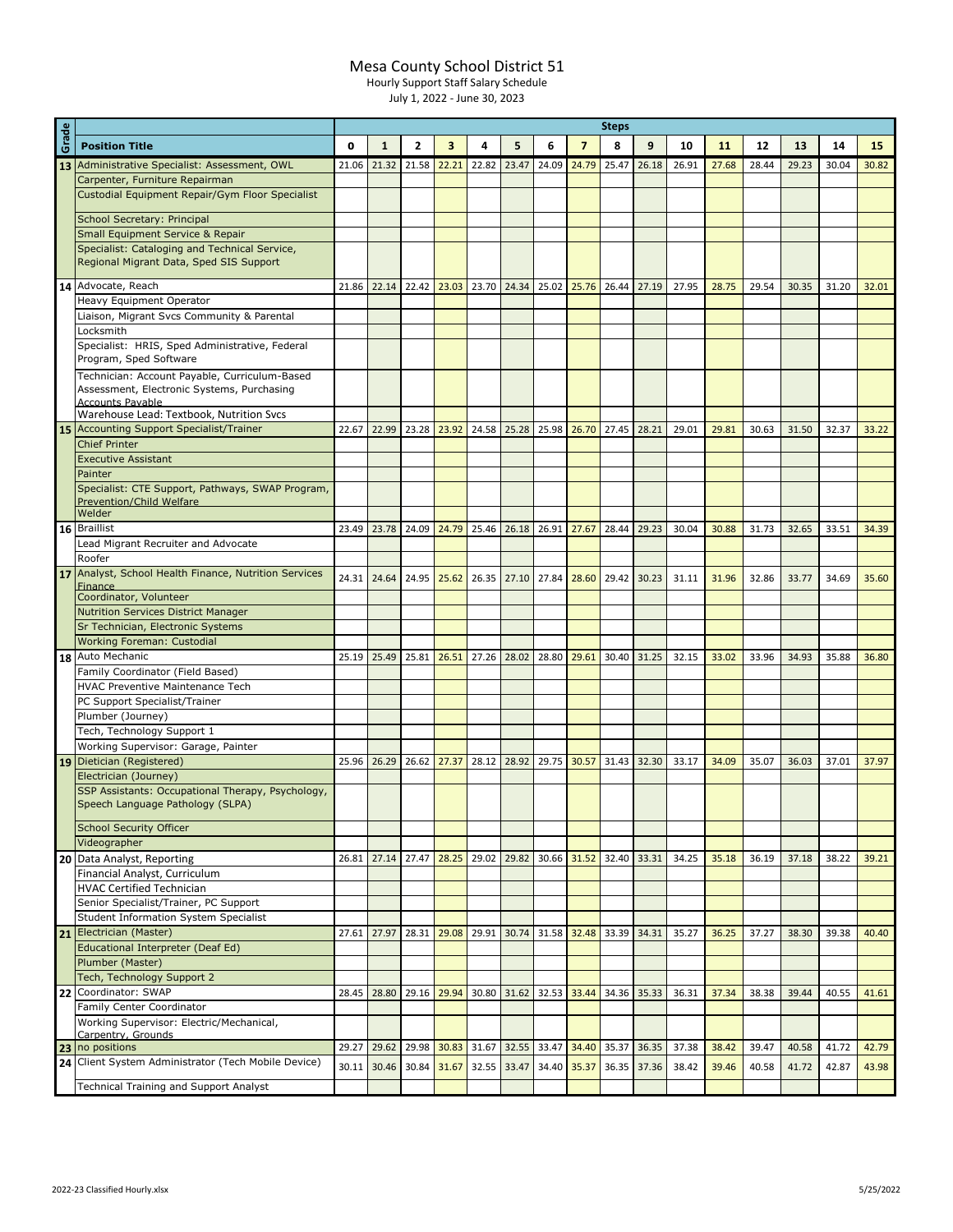## Mesa County School District 51

Hourly Support Staff Salary Schedule

July 1, 2022 - June 30, 2023

|       |                                                                                       | <b>Steps</b> |              |                |                         |       |                         |       |                |             |       |       |       |       |       |       |       |  |  |
|-------|---------------------------------------------------------------------------------------|--------------|--------------|----------------|-------------------------|-------|-------------------------|-------|----------------|-------------|-------|-------|-------|-------|-------|-------|-------|--|--|
| Grade | <b>Position Title</b>                                                                 | $\mathbf o$  | $\mathbf{1}$ | $\overline{2}$ | $\overline{\mathbf{3}}$ | 4     | 5                       | 6     | $\overline{7}$ | 8           | 9     | 10    | 11    | 12    | 13    | 14    | 15    |  |  |
| 13    | Administrative Specialist: Assessment, OWL                                            | 21.06        | 21.32        | 21.58          | 22.21                   | 22.82 | 23.47                   | 24.09 | 24.79          | 25.47       | 26.18 | 26.91 | 27.68 | 28.44 | 29.23 | 30.04 | 30.82 |  |  |
|       | Carpenter, Furniture Repairman                                                        |              |              |                |                         |       |                         |       |                |             |       |       |       |       |       |       |       |  |  |
|       | Custodial Equipment Repair/Gym Floor Specialist                                       |              |              |                |                         |       |                         |       |                |             |       |       |       |       |       |       |       |  |  |
|       |                                                                                       |              |              |                |                         |       |                         |       |                |             |       |       |       |       |       |       |       |  |  |
|       | School Secretary: Principal                                                           |              |              |                |                         |       |                         |       |                |             |       |       |       |       |       |       |       |  |  |
|       | <b>Small Equipment Service &amp; Repair</b>                                           |              |              |                |                         |       |                         |       |                |             |       |       |       |       |       |       |       |  |  |
|       | Specialist: Cataloging and Technical Service,                                         |              |              |                |                         |       |                         |       |                |             |       |       |       |       |       |       |       |  |  |
|       | Regional Migrant Data, Sped SIS Support                                               |              |              |                |                         |       |                         |       |                |             |       |       |       |       |       |       |       |  |  |
|       | 14 Advocate, Reach                                                                    | 21.86        | 22.14        | 22.42          | 23.03                   |       | 23.70 24.34             | 25.02 | 25.76          | 26.44       | 27.19 | 27.95 | 28.75 | 29.54 | 30.35 | 31.20 | 32.01 |  |  |
|       | Heavy Equipment Operator                                                              |              |              |                |                         |       |                         |       |                |             |       |       |       |       |       |       |       |  |  |
|       | Liaison, Migrant Svcs Community & Parental                                            |              |              |                |                         |       |                         |       |                |             |       |       |       |       |       |       |       |  |  |
|       | Locksmith                                                                             |              |              |                |                         |       |                         |       |                |             |       |       |       |       |       |       |       |  |  |
|       | Specialist: HRIS, Sped Administrative, Federal                                        |              |              |                |                         |       |                         |       |                |             |       |       |       |       |       |       |       |  |  |
|       | Program, Sped Software                                                                |              |              |                |                         |       |                         |       |                |             |       |       |       |       |       |       |       |  |  |
|       | Technician: Account Payable, Curriculum-Based                                         |              |              |                |                         |       |                         |       |                |             |       |       |       |       |       |       |       |  |  |
|       | Assessment, Electronic Systems, Purchasing                                            |              |              |                |                         |       |                         |       |                |             |       |       |       |       |       |       |       |  |  |
|       | <b>Accounts Pavable</b><br>Warehouse Lead: Textbook, Nutrition Svcs                   |              |              |                |                         |       |                         |       |                |             |       |       |       |       |       |       |       |  |  |
|       | 15 Accounting Support Specialist/Trainer                                              | 22.67        | 22.99        | 23.28          | 23.92                   | 24.58 | 25.28                   | 25.98 | 26.70          | 27.45       | 28.21 | 29.01 | 29.81 | 30.63 | 31.50 | 32.37 | 33.22 |  |  |
|       | <b>Chief Printer</b>                                                                  |              |              |                |                         |       |                         |       |                |             |       |       |       |       |       |       |       |  |  |
|       | <b>Executive Assistant</b>                                                            |              |              |                |                         |       |                         |       |                |             |       |       |       |       |       |       |       |  |  |
|       | Painter                                                                               |              |              |                |                         |       |                         |       |                |             |       |       |       |       |       |       |       |  |  |
|       | Specialist: CTE Support, Pathways, SWAP Program,                                      |              |              |                |                         |       |                         |       |                |             |       |       |       |       |       |       |       |  |  |
|       | <b>Prevention/Child Welfare</b>                                                       |              |              |                |                         |       |                         |       |                |             |       |       |       |       |       |       |       |  |  |
|       | Welder                                                                                |              |              |                |                         |       |                         |       |                |             |       |       |       |       |       |       |       |  |  |
|       | 16 Braillist                                                                          | 23.49        | 23.78        | 24.09          | 24.79                   | 25.46 | 26.18                   | 26.91 | 27.67          | 28.44       | 29.23 | 30.04 | 30.88 | 31.73 | 32.65 | 33.51 | 34.39 |  |  |
|       | Lead Migrant Recruiter and Advocate                                                   |              |              |                |                         |       |                         |       |                |             |       |       |       |       |       |       |       |  |  |
|       | Roofer                                                                                |              |              |                |                         |       |                         |       |                |             |       |       |       |       |       |       |       |  |  |
|       | 17 Analyst, School Health Finance, Nutrition Services<br><b>Finance</b>               | 24.31        | 24.64        | 24.95          | 25.62                   | 26.35 | 27.10                   | 27.84 | 28.60          | 29.42       | 30.23 | 31.11 | 31.96 | 32.86 | 33.77 | 34.69 | 35.60 |  |  |
|       | Coordinator, Volunteer                                                                |              |              |                |                         |       |                         |       |                |             |       |       |       |       |       |       |       |  |  |
|       | <b>Nutrition Services District Manager</b>                                            |              |              |                |                         |       |                         |       |                |             |       |       |       |       |       |       |       |  |  |
|       | Sr Technician, Electronic Systems                                                     |              |              |                |                         |       |                         |       |                |             |       |       |       |       |       |       |       |  |  |
|       | <b>Working Foreman: Custodial</b>                                                     |              |              |                |                         |       |                         |       |                |             |       |       |       |       |       |       |       |  |  |
|       | 18 Auto Mechanic                                                                      | 25.19        | 25.49        | 25.81          | 26.51                   | 27.26 | 28.02                   | 28.80 | 29.61          | 30.40       | 31.25 | 32.15 | 33.02 | 33.96 | 34.93 | 35.88 | 36.80 |  |  |
|       | Family Coordinator (Field Based)                                                      |              |              |                |                         |       |                         |       |                |             |       |       |       |       |       |       |       |  |  |
|       | HVAC Preventive Maintenance Tech                                                      |              |              |                |                         |       |                         |       |                |             |       |       |       |       |       |       |       |  |  |
|       | PC Support Specialist/Trainer                                                         |              |              |                |                         |       |                         |       |                |             |       |       |       |       |       |       |       |  |  |
|       | Plumber (Journey)                                                                     |              |              |                |                         |       |                         |       |                |             |       |       |       |       |       |       |       |  |  |
|       | Tech, Technology Support 1                                                            |              |              |                |                         |       |                         |       |                |             |       |       |       |       |       |       |       |  |  |
|       | Working Supervisor: Garage, Painter                                                   |              |              |                |                         |       |                         |       |                |             |       |       |       |       |       |       |       |  |  |
|       | 19 Dietician (Registered)<br>Electrician (Journey)                                    | 25.96        | 26.29        | 26.62          | 27.37                   | 28.12 | 28.92                   | 29.75 | 30.57          | 31.43       | 32.30 | 33.17 | 34.09 | 35.07 | 36.03 | 37.01 | 37.97 |  |  |
|       | SSP Assistants: Occupational Therapy, Psychology,                                     |              |              |                |                         |       |                         |       |                |             |       |       |       |       |       |       |       |  |  |
|       | Speech Language Pathology (SLPA)                                                      |              |              |                |                         |       |                         |       |                |             |       |       |       |       |       |       |       |  |  |
|       |                                                                                       |              |              |                |                         |       |                         |       |                |             |       |       |       |       |       |       |       |  |  |
|       | <b>School Security Officer</b>                                                        |              |              |                |                         |       |                         |       |                |             |       |       |       |       |       |       |       |  |  |
|       | Videographer                                                                          |              |              |                |                         |       |                         |       |                |             |       |       |       |       |       |       |       |  |  |
|       | 20 Data Analyst, Reporting                                                            | 26.81        | 27.14        | 27.47          | 28.25                   | 29.02 | 29.82                   |       | 30.66 31.52    | 32.40 33.31 |       | 34.25 | 35.18 | 36.19 | 37.18 | 38.22 | 39.21 |  |  |
|       | Financial Analyst, Curriculum                                                         |              |              |                |                         |       |                         |       |                |             |       |       |       |       |       |       |       |  |  |
|       | <b>HVAC Certified Technician</b>                                                      |              |              |                |                         |       |                         |       |                |             |       |       |       |       |       |       |       |  |  |
|       | Senior Specialist/Trainer, PC Support<br><b>Student Information System Specialist</b> |              |              |                |                         |       |                         |       |                |             |       |       |       |       |       |       |       |  |  |
|       | 21 Electrician (Master)                                                               | 27.61        | 27.97        | 28.31          | 29.08                   | 29.91 | 30.74                   |       | 31.58 32.48    | 33.39       | 34.31 | 35.27 | 36.25 | 37.27 | 38.30 | 39.38 | 40.40 |  |  |
|       | Educational Interpreter (Deaf Ed)                                                     |              |              |                |                         |       |                         |       |                |             |       |       |       |       |       |       |       |  |  |
|       | Plumber (Master)                                                                      |              |              |                |                         |       |                         |       |                |             |       |       |       |       |       |       |       |  |  |
|       | Tech, Technology Support 2                                                            |              |              |                |                         |       |                         |       |                |             |       |       |       |       |       |       |       |  |  |
| 22    | Coordinator: SWAP                                                                     | 28.45        | 28.80        | 29.16          | 29.94                   | 30.80 | 31.62                   | 32.53 | 33.44          | 34.36       | 35.33 | 36.31 | 37.34 | 38.38 | 39.44 | 40.55 | 41.61 |  |  |
|       | Family Center Coordinator                                                             |              |              |                |                         |       |                         |       |                |             |       |       |       |       |       |       |       |  |  |
|       | Working Supervisor: Electric/Mechanical,                                              |              |              |                |                         |       |                         |       |                |             |       |       |       |       |       |       |       |  |  |
|       | Carpentry, Grounds                                                                    |              |              |                |                         |       |                         |       |                |             |       |       |       |       |       |       |       |  |  |
| 23    | no positions                                                                          | 29.27        | 29.62        | 29.98          | 30.83                   |       | 31.67 32.55 33.47 34.40 |       |                | 35.37       | 36.35 | 37.38 | 38.42 | 39.47 | 40.58 | 41.72 | 42.79 |  |  |
|       | 24 Client System Administrator (Tech Mobile Device)                                   | 30.11        | 30.46        | 30.84          | 31.67                   | 32.55 | 33.47                   |       | 34.40 35.37    | 36.35       | 37.36 | 38.42 | 39.46 | 40.58 | 41.72 | 42.87 | 43.98 |  |  |
|       | <b>Technical Training and Support Analyst</b>                                         |              |              |                |                         |       |                         |       |                |             |       |       |       |       |       |       |       |  |  |